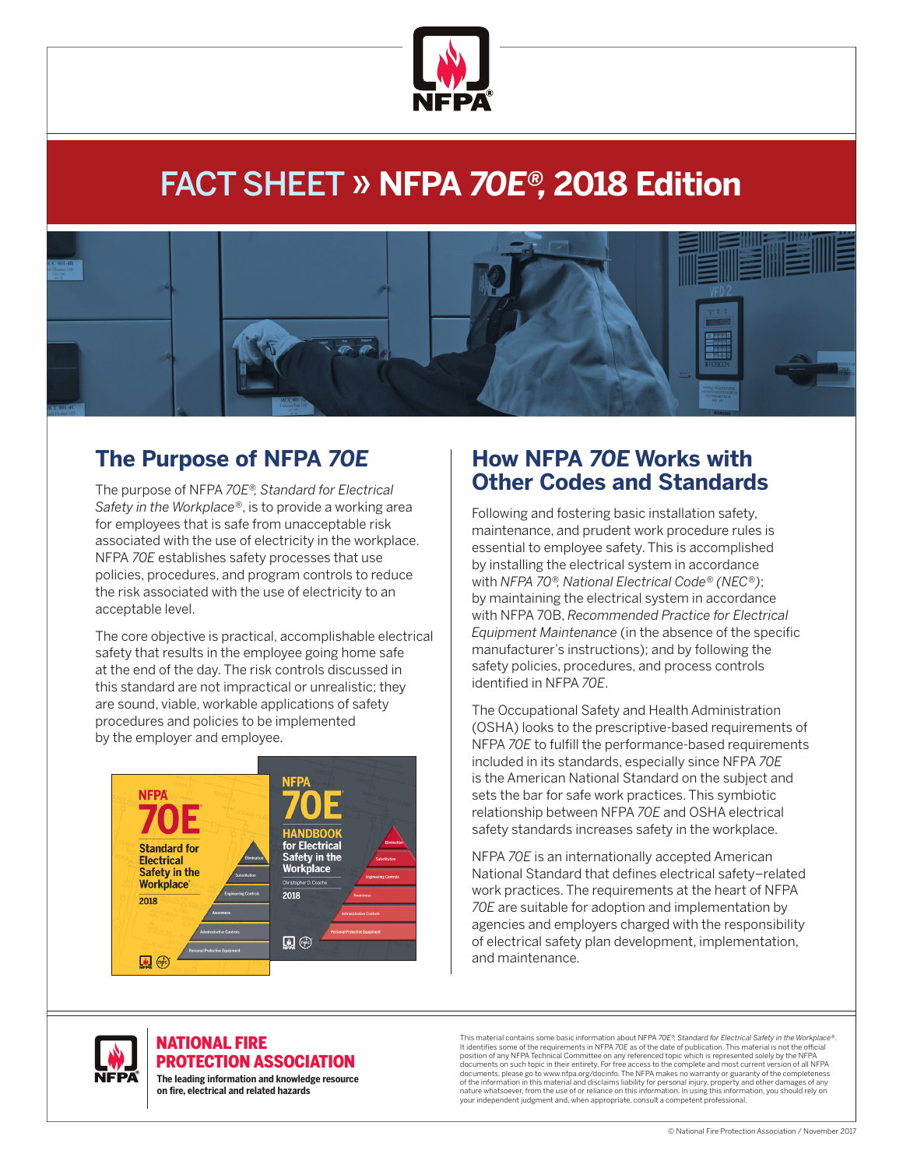

# FACT SHEET » **NFPA 70E®, 2018 Edition**



## **The Purpose of NFPA 70E**

The purpose of NFPA *70E®, Standard for Electrical Safety in the Workplace®*, is to provide a working area for employees that is safe from unacceptable risk associated with the use of electricity in the workplace. NFPA *70E* establishes safety processes that use policies, procedures, and program controls to reduce the risk associated with the use of electricity to an acceptable level.

The core objective is practical, accomplishable electrical safety that results in the employee going home safe at the end of the day. The risk controls discussed in this standard are not impractical or unrealistic; they are sound, viable, workable applications of safety procedures and policies to be implemented by the employer and employee.



### **How NFPA 70E Works with Other Codes and Standards**

Following and fostering basic installation safety, maintenance, and prudent work procedure rules is essential to employee safety. This is accomplished by installing the electrical system in accordance with *NFPA 70®, National Electrical Code® (NEC®)*; by maintaining the electrical system in accordance with NFPA 70B, *Recommended Practice for Electrical Equipment Maintenance* (in the absence of the specific manufacturer's instructions); and by following the safety policies, procedures, and process controls identified in NFPA *70E*.

The Occupational Safety and Health Administration (OSHA) looks to the prescriptive-based requirements of NFPA *70E* to fulfill the performance-based requirements included in its standards, especially since NFPA *70E* is the American National Standard on the subject and sets the bar for safe work practices. This symbiotic relationship between NFPA *70E* and OSHA electrical safety standards increases safety in the workplace.

NFPA *70E* is an internationally accepted American National Standard that defines electrical safety–related work practices. The requirements at the heart of NFPA *70E* are suitable for adoption and implementation by agencies and employers charged with the responsibility of electrical safety plan development, implementation, and maintenance.



#### NATIONAL FIRE PROTECTION ASSOCIATION

**The leading information and knowledge resource on re, electrical and related hazards**

This material contains some basic information about NFPA *70E®, Standard for Electrical Safety in the Workplace®*. It identifies some of the requirements in NFPA 70E as of the date of publication. This material is not the official<br>position of any NFPA Technical Committee on any referenced topic which is represented solely by the NFPA documents on such topic in their entirety. For free access to the complete and most current version of all NFPA documents, please go to www.nfpa.org/docinfo. The NFPA makes no warranty or guaranty of the completeness of the information in this material and disclaims liability for personal injury, property and other damages of any nature whatsoever, from the use of or reliance on this information. In using this information, you should rely on your independent judgment and, when appropriate, consult a competent professional.